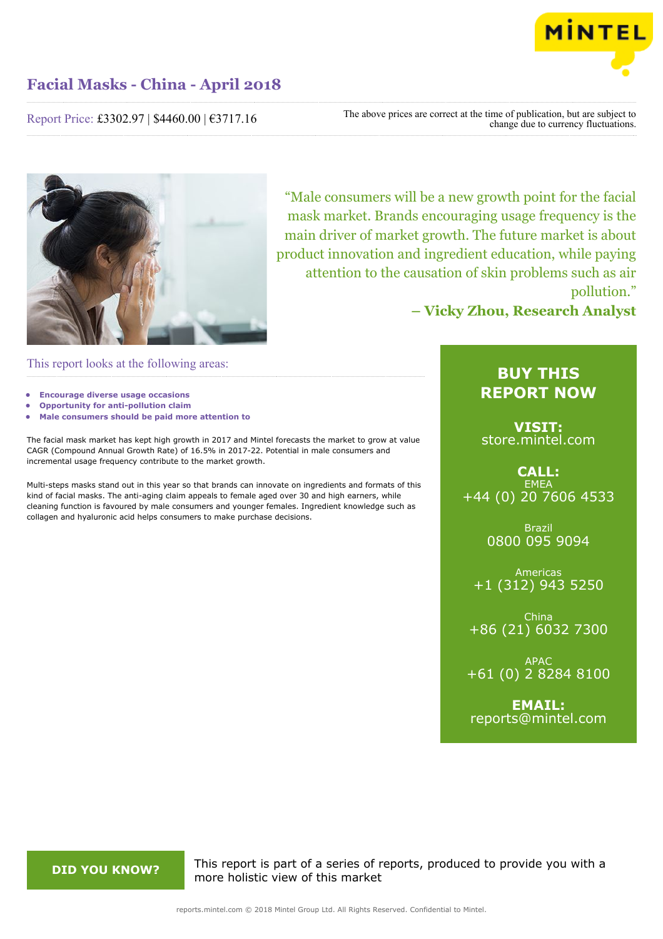

Report Price: £3302.97 | \$4460.00 | €3717.16

The above prices are correct at the time of publication, but are subject to change due to currency fluctuations.



"Male consumers will be a new growth point for the facial mask market. Brands encouraging usage frequency is the main driver of market growth. The future market is about product innovation and ingredient education, while paying attention to the causation of skin problems such as air pollution."

**– Vicky Zhou, Research Analyst**

This report looks at the following areas:

- **• Encourage diverse usage occasions**
- **• Opportunity for anti-pollution claim**
- **• Male consumers should be paid more attention to**

The facial mask market has kept high growth in 2017 and Mintel forecasts the market to grow at value CAGR (Compound Annual Growth Rate) of 16.5% in 2017-22. Potential in male consumers and incremental usage frequency contribute to the market growth.

Multi-steps masks stand out in this year so that brands can innovate on ingredients and formats of this kind of facial masks. The anti-aging claim appeals to female aged over 30 and high earners, while cleaning function is favoured by male consumers and younger females. Ingredient knowledge such as collagen and hyaluronic acid helps consumers to make purchase decisions.

# **BUY THIS REPORT NOW**

**VISIT:** [store.mintel.com](http://reports.mintel.com//display/store/861121/)

**CALL: EMEA** +44 (0) 20 7606 4533

> Brazil 0800 095 9094

Americas +1 (312) 943 5250

China +86 (21) 6032 7300

APAC +61 (0) 2 8284 8100

**EMAIL:** [reports@mintel.com](mailto:reports@mintel.com)

**DID YOU KNOW?** This report is part of a series of reports, produced to provide you with a more holistic view of this market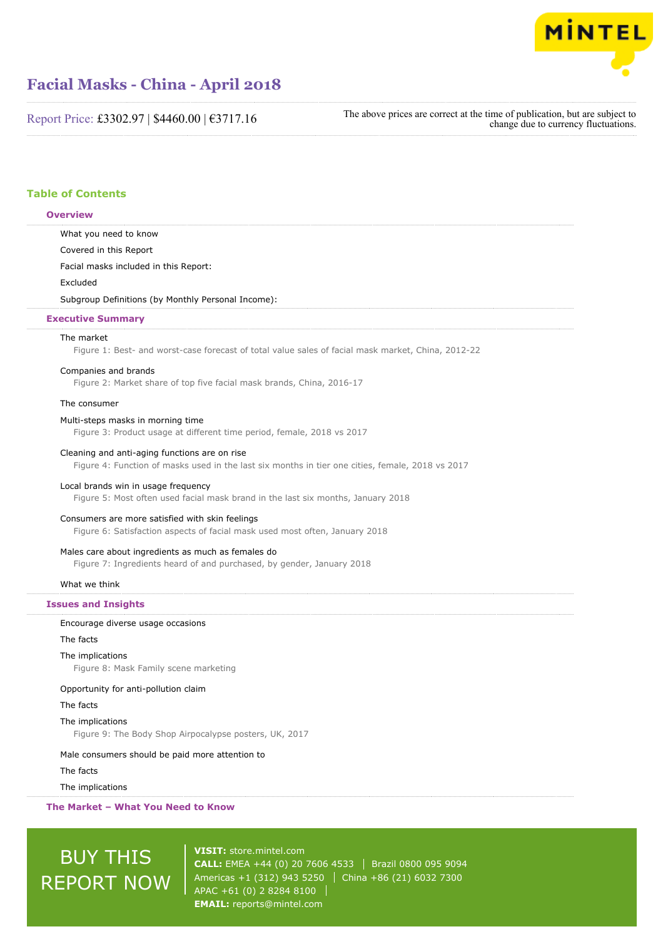

Report Price: £3302.97 | \$4460.00 | €3717.16

The above prices are correct at the time of publication, but are subject to change due to currency fluctuations.

## **Table of Contents**

# What you need to know Covered in this Report Facial masks included in this Report: Excluded Subgroup Definitions (by Monthly Personal Income): The market Figure 1: Best- and worst-case forecast of total value sales of facial mask market, China, 2012-22 Companies and brands Figure 2: Market share of top five facial mask brands, China, 2016-17 The consumer Multi-steps masks in morning time Figure 3: Product usage at different time period, female, 2018 vs 2017 Cleaning and anti-aging functions are on rise Figure 4: Function of masks used in the last six months in tier one cities, female, 2018 vs 2017 Local brands win in usage frequency Figure 5: Most often used facial mask brand in the last six months, January 2018 Consumers are more satisfied with skin feelings Figure 6: Satisfaction aspects of facial mask used most often, January 2018 Males care about ingredients as much as females do Figure 7: Ingredients heard of and purchased, by gender, January 2018 What we think Encourage diverse usage occasions The facts The implications Figure 8: Mask Family scene marketing Opportunity for anti-pollution claim The facts The implications Figure 9: The Body Shop Airpocalypse posters, UK, 2017 Male consumers should be paid more attention to **Overview Executive Summary Issues and Insights**

The facts

The implications

**The Market – What You Need to Know**

# BUY THIS REPORT NOW

**VISIT:** [store.mintel.com](http://reports.mintel.com//display/store/861121/) **CALL:** EMEA +44 (0) 20 7606 4533 | Brazil 0800 095 9094 Americas +1 (312) 943 5250 | China +86 (21) 6032 7300 APAC +61 (0) 2 8284 8100 **EMAIL:** [reports@mintel.com](mailto:reports@mintel.com)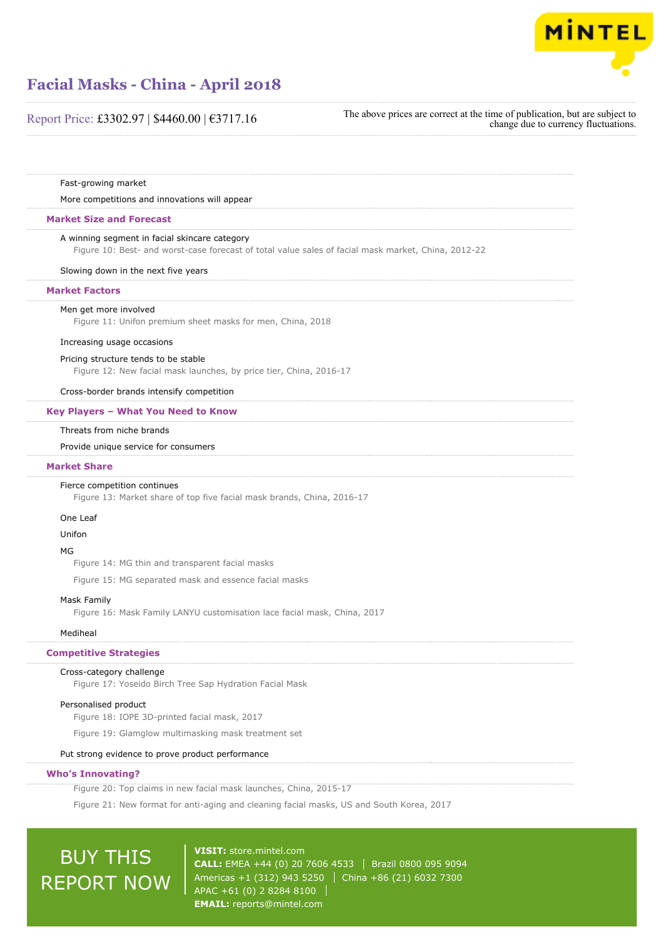

## Report Price: £3302.97 | \$4460.00 | €3717.16

The above prices are correct at the time of publication, but are subject to change due to currency fluctuations.

Fast-growing market

#### More competitions and innovations will appear

#### **Market Size and Forecast**

#### A winning segment in facial skincare category

Figure 10: Best- and worst-case forecast of total value sales of facial mask market, China, 2012-22

Slowing down in the next five years

#### **Market Factors**

#### Men get more involved

Figure 11: Unifon premium sheet masks for men, China, 2018

#### Increasing usage occasions

#### Pricing structure tends to be stable

Figure 12: New facial mask launches, by price tier, China, 2016-17

Cross-border brands intensify competition

#### **Key Players – What You Need to Know**

#### Threats from niche brands

#### Provide unique service for consumers

#### **Market Share**

#### Fierce competition continues

Figure 13: Market share of top five facial mask brands, China, 2016-17

#### One Leaf

#### Unifon

#### MG

Figure 14: MG thin and transparent facial masks

Figure 15: MG separated mask and essence facial masks

#### Mask Family

Figure 16: Mask Family LANYU customisation lace facial mask, China, 2017

### Mediheal

#### **Competitive Strategies**

#### Cross-category challenge

Figure 17: Yoseido Birch Tree Sap Hydration Facial Mask

### Personalised product

Figure 18: IOPE 3D-printed facial mask, 2017

Figure 19: Glamglow multimasking mask treatment set

## Put strong evidence to prove product performance

## **Who's Innovating?**

Figure 20: Top claims in new facial mask launches, China, 2015-17

Figure 21: New format for anti-aging and cleaning facial masks, US and South Korea, 2017

# BUY THIS REPORT NOW

**VISIT:** [store.mintel.com](http://reports.mintel.com//display/store/861121/) **CALL:** EMEA +44 (0) 20 7606 4533 | Brazil 0800 095 9094 Americas +1 (312) 943 5250 | China +86 (21) 6032 7300 APAC +61 (0) 2 8284 8100 **EMAIL:** [reports@mintel.com](mailto:reports@mintel.com)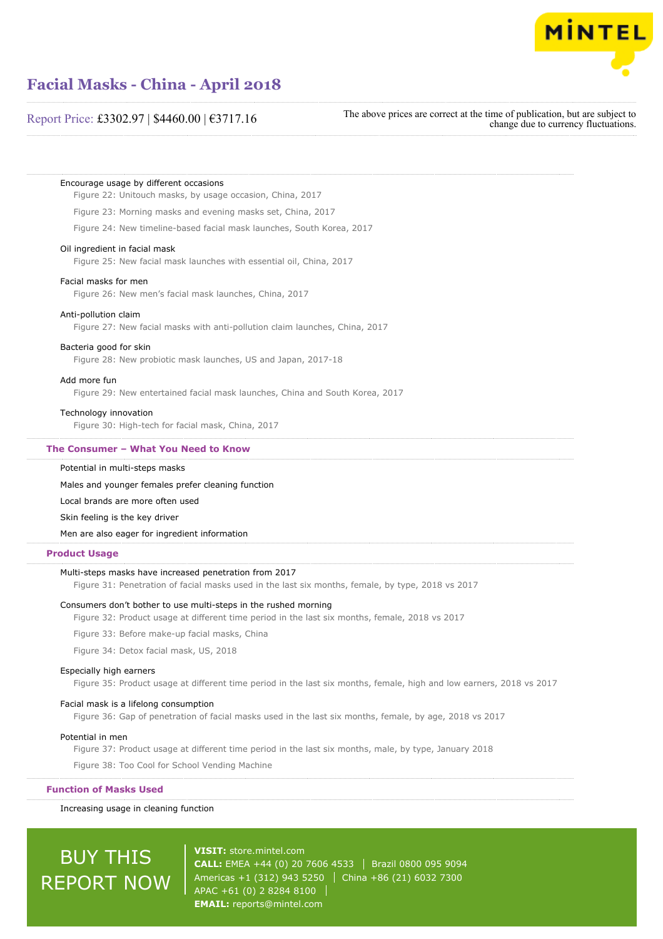

## Report Price: £3302.97 | \$4460.00 | €3717.16

The above prices are correct at the time of publication, but are subject to change due to currency fluctuations.

#### Encourage usage by different occasions

Figure 22: Unitouch masks, by usage occasion, China, 2017

Figure 23: Morning masks and evening masks set, China, 2017

Figure 24: New timeline-based facial mask launches, South Korea, 2017

#### Oil ingredient in facial mask

Figure 25: New facial mask launches with essential oil, China, 2017

#### Facial masks for men

Figure 26: New men's facial mask launches, China, 2017

#### Anti-pollution claim

Figure 27: New facial masks with anti-pollution claim launches, China, 2017

#### Bacteria good for skin

Figure 28: New probiotic mask launches, US and Japan, 2017-18

#### Add more fun

Figure 29: New entertained facial mask launches, China and South Korea, 2017

#### Technology innovation

Figure 30: High-tech for facial mask, China, 2017

#### **The Consumer – What You Need to Know**

Potential in multi-steps masks

Males and younger females prefer cleaning function

Local brands are more often used

Skin feeling is the key driver

Men are also eager for ingredient information

#### **Product Usage**

#### Multi-steps masks have increased penetration from 2017

Figure 31: Penetration of facial masks used in the last six months, female, by type, 2018 vs 2017

#### Consumers don't bother to use multi-steps in the rushed morning

Figure 32: Product usage at different time period in the last six months, female, 2018 vs 2017

Figure 33: Before make-up facial masks, China

Figure 34: Detox facial mask, US, 2018

#### Especially high earners

Figure 35: Product usage at different time period in the last six months, female, high and low earners, 2018 vs 2017

### Facial mask is a lifelong consumption

Figure 36: Gap of penetration of facial masks used in the last six months, female, by age, 2018 vs 2017

#### Potential in men

Figure 37: Product usage at different time period in the last six months, male, by type, January 2018

Figure 38: Too Cool for School Vending Machine

**Function of Masks Used**

Increasing usage in cleaning function

# BUY THIS REPORT NOW

**VISIT:** [store.mintel.com](http://reports.mintel.com//display/store/861121/) **CALL:** EMEA +44 (0) 20 7606 4533 | Brazil 0800 095 9094 Americas +1 (312) 943 5250 | China +86 (21) 6032 7300 APAC +61 (0) 2 8284 8100 **EMAIL:** [reports@mintel.com](mailto:reports@mintel.com)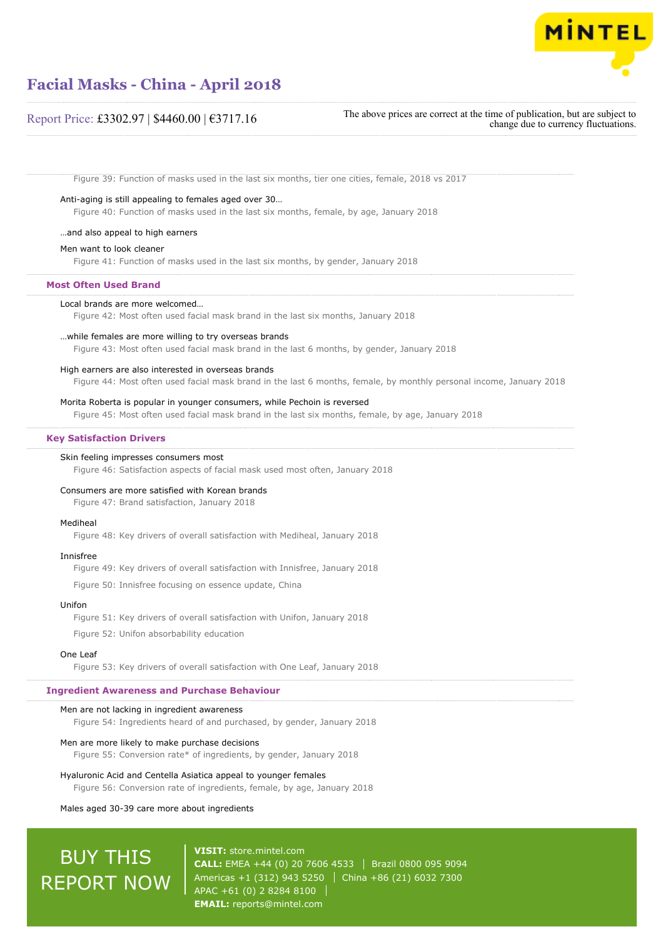

## Report Price: £3302.97 | \$4460.00 | €3717.16

The above prices are correct at the time of publication, but are subject to change due to currency fluctuations.

Figure 39: Function of masks used in the last six months, tier one cities, female, 2018 vs 2017

### Anti-aging is still appealing to females aged over 30…

Figure 40: Function of masks used in the last six months, female, by age, January 2018

### …and also appeal to high earners

#### Men want to look cleaner

Figure 41: Function of masks used in the last six months, by gender, January 2018

#### **Most Often Used Brand**

#### Local brands are more welcomed…

Figure 42: Most often used facial mask brand in the last six months, January 2018

#### …while females are more willing to try overseas brands

Figure 43: Most often used facial mask brand in the last 6 months, by gender, January 2018

#### High earners are also interested in overseas brands

Figure 44: Most often used facial mask brand in the last 6 months, female, by monthly personal income, January 2018

#### Morita Roberta is popular in younger consumers, while Pechoin is reversed

Figure 45: Most often used facial mask brand in the last six months, female, by age, January 2018

#### **Key Satisfaction Drivers**

#### Skin feeling impresses consumers most

Figure 46: Satisfaction aspects of facial mask used most often, January 2018

#### Consumers are more satisfied with Korean brands

Figure 47: Brand satisfaction, January 2018

#### Mediheal

Figure 48: Key drivers of overall satisfaction with Mediheal, January 2018

#### Innisfree

Figure 49: Key drivers of overall satisfaction with Innisfree, January 2018

Figure 50: Innisfree focusing on essence update, China

#### Unifon

Figure 51: Key drivers of overall satisfaction with Unifon, January 2018

Figure 52: Unifon absorbability education

#### One Leaf

Figure 53: Key drivers of overall satisfaction with One Leaf, January 2018

#### **Ingredient Awareness and Purchase Behaviour**

#### Men are not lacking in ingredient awareness

Figure 54: Ingredients heard of and purchased, by gender, January 2018

#### Men are more likely to make purchase decisions

Figure 55: Conversion rate\* of ingredients, by gender, January 2018

#### Hyaluronic Acid and Centella Asiatica appeal to younger females

Figure 56: Conversion rate of ingredients, female, by age, January 2018

#### Males aged 30-39 care more about ingredients

# BUY THIS REPORT NOW

**VISIT:** [store.mintel.com](http://reports.mintel.com//display/store/861121/) **CALL:** EMEA +44 (0) 20 7606 4533 Brazil 0800 095 9094 Americas +1 (312) 943 5250 | China +86 (21) 6032 7300 APAC +61 (0) 2 8284 8100 **EMAIL:** [reports@mintel.com](mailto:reports@mintel.com)